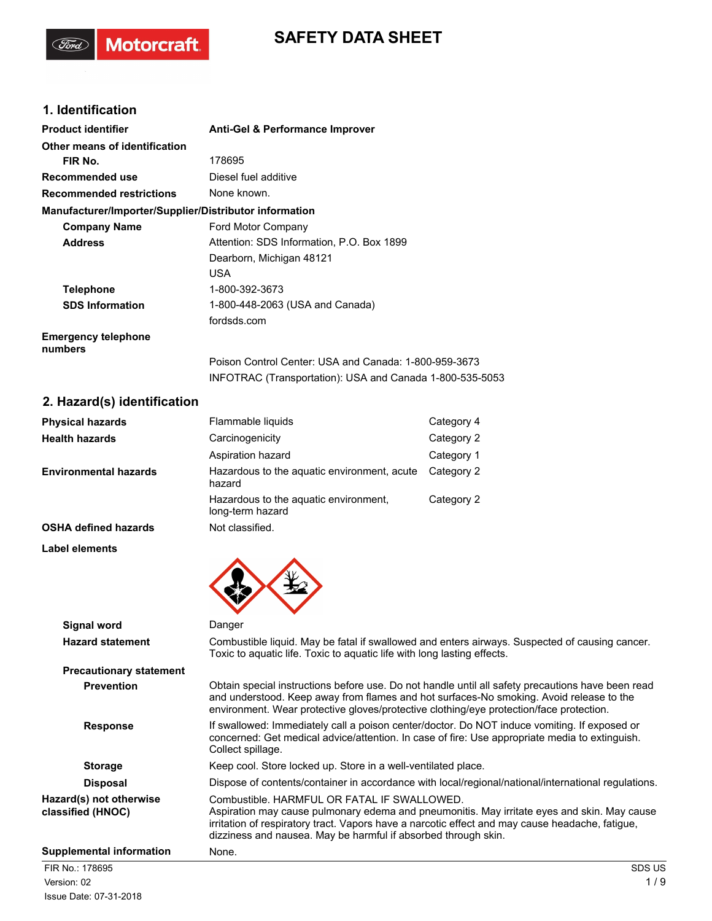# **SAFETY DATA SHEET**

# **1. Identification**

(Ford)

Motorcraft.

| <b>Product identifier</b>                              | <b>Anti-Gel &amp; Performance Improver</b>                                                                        |
|--------------------------------------------------------|-------------------------------------------------------------------------------------------------------------------|
| Other means of identification                          |                                                                                                                   |
| FIR No.                                                | 178695                                                                                                            |
| Recommended use                                        | Diesel fuel additive                                                                                              |
| <b>Recommended restrictions</b>                        | None known.                                                                                                       |
| Manufacturer/Importer/Supplier/Distributor information |                                                                                                                   |
| <b>Company Name</b>                                    | Ford Motor Company                                                                                                |
| <b>Address</b>                                         | Attention: SDS Information, P.O. Box 1899                                                                         |
|                                                        | Dearborn, Michigan 48121                                                                                          |
|                                                        | <b>USA</b>                                                                                                        |
| <b>Telephone</b>                                       | 1-800-392-3673                                                                                                    |
| <b>SDS Information</b>                                 | 1-800-448-2063 (USA and Canada)                                                                                   |
|                                                        | fordsds.com                                                                                                       |
| <b>Emergency telephone</b><br>numbers                  |                                                                                                                   |
|                                                        | Poison Control Center: USA and Canada: 1-800-959-3673<br>INFOTRAC (Transportation): USA and Canada 1-800-535-5053 |

# **2. Hazard(s) identification**

| <b>Physical hazards</b>      | Flammable liquids                                         | Category 4 |
|------------------------------|-----------------------------------------------------------|------------|
| <b>Health hazards</b>        | Carcinogenicity                                           | Category 2 |
|                              | Aspiration hazard                                         | Category 1 |
| <b>Environmental hazards</b> | Hazardous to the aguatic environment, acute<br>hazard     | Category 2 |
|                              | Hazardous to the aquatic environment,<br>long-term hazard | Category 2 |
| <b>OSHA defined hazards</b>  | Not classified.                                           |            |

**Label elements**

| <b>Signal word</b>                           | Danger                                                                                                                                                                                                                                                                                                          |
|----------------------------------------------|-----------------------------------------------------------------------------------------------------------------------------------------------------------------------------------------------------------------------------------------------------------------------------------------------------------------|
| <b>Hazard statement</b>                      | Combustible liquid. May be fatal if swallowed and enters airways. Suspected of causing cancer.<br>Toxic to aquatic life. Toxic to aquatic life with long lasting effects.                                                                                                                                       |
| <b>Precautionary statement</b>               |                                                                                                                                                                                                                                                                                                                 |
| <b>Prevention</b>                            | Obtain special instructions before use. Do not handle until all safety precautions have been read<br>and understood. Keep away from flames and hot surfaces-No smoking. Avoid release to the<br>environment. Wear protective gloves/protective clothing/eye protection/face protection.                         |
| <b>Response</b>                              | If swallowed: Immediately call a poison center/doctor. Do NOT induce vomiting. If exposed or<br>concerned: Get medical advice/attention. In case of fire: Use appropriate media to extinguish.<br>Collect spillage.                                                                                             |
| <b>Storage</b>                               | Keep cool. Store locked up. Store in a well-ventilated place.                                                                                                                                                                                                                                                   |
| <b>Disposal</b>                              | Dispose of contents/container in accordance with local/regional/national/international regulations.                                                                                                                                                                                                             |
| Hazard(s) not otherwise<br>classified (HNOC) | Combustible, HARMEUL OR FATAL IF SWALLOWED.<br>Aspiration may cause pulmonary edema and pneumonitis. May irritate eyes and skin. May cause<br>irritation of respiratory tract. Vapors have a narcotic effect and may cause headache, fatigue,<br>dizziness and nausea. May be harmful if absorbed through skin. |
| <b>Supplemental information</b>              | None.                                                                                                                                                                                                                                                                                                           |
| FIR No.: 178695                              | SDS US                                                                                                                                                                                                                                                                                                          |
| Version: 02                                  | 1/9                                                                                                                                                                                                                                                                                                             |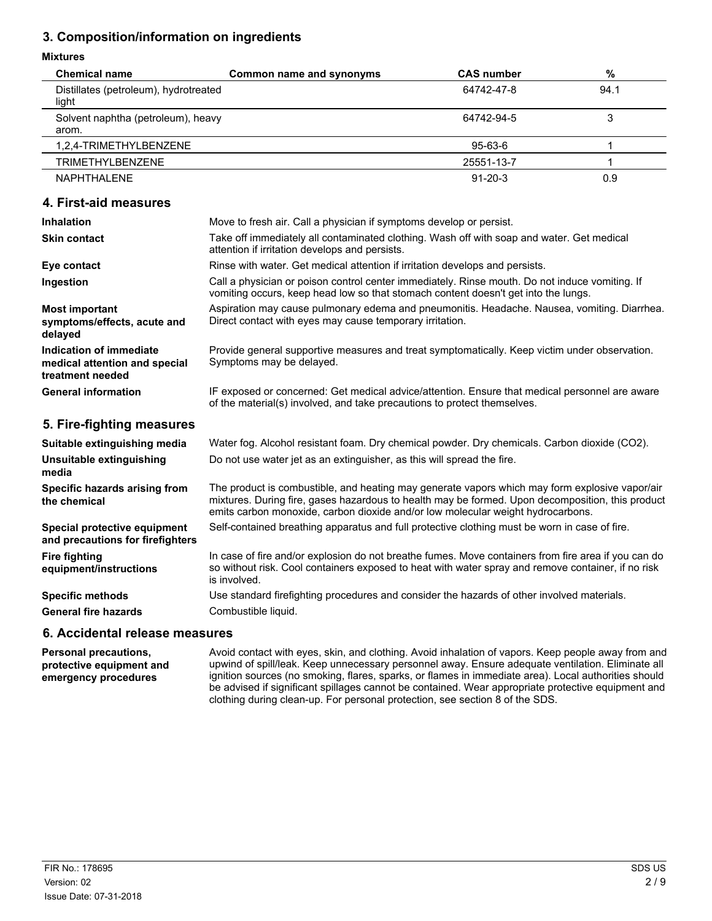# **3. Composition/information on ingredients**

#### **Mixtures**

| <b>Mixtures</b>                                                              |                                                                                                                                                                                                                                                                                       |                   |      |
|------------------------------------------------------------------------------|---------------------------------------------------------------------------------------------------------------------------------------------------------------------------------------------------------------------------------------------------------------------------------------|-------------------|------|
| <b>Chemical name</b>                                                         | Common name and synonyms                                                                                                                                                                                                                                                              | <b>CAS number</b> | $\%$ |
| Distillates (petroleum), hydrotreated<br>light                               |                                                                                                                                                                                                                                                                                       | 64742-47-8        | 94.1 |
| Solvent naphtha (petroleum), heavy<br>arom.                                  |                                                                                                                                                                                                                                                                                       | 64742-94-5        | 3    |
| 1,2,4-TRIMETHYLBENZENE                                                       |                                                                                                                                                                                                                                                                                       | 95-63-6           | 1    |
| <b>TRIMETHYLBENZENE</b>                                                      |                                                                                                                                                                                                                                                                                       | 25551-13-7        | 1    |
| <b>NAPHTHALENE</b>                                                           |                                                                                                                                                                                                                                                                                       | $91 - 20 - 3$     | 0.9  |
| 4. First-aid measures                                                        |                                                                                                                                                                                                                                                                                       |                   |      |
| Inhalation                                                                   | Move to fresh air. Call a physician if symptoms develop or persist.                                                                                                                                                                                                                   |                   |      |
| <b>Skin contact</b>                                                          | Take off immediately all contaminated clothing. Wash off with soap and water. Get medical<br>attention if irritation develops and persists.                                                                                                                                           |                   |      |
| Eye contact                                                                  | Rinse with water. Get medical attention if irritation develops and persists.                                                                                                                                                                                                          |                   |      |
| Ingestion                                                                    | Call a physician or poison control center immediately. Rinse mouth. Do not induce vomiting. If<br>vomiting occurs, keep head low so that stomach content doesn't get into the lungs.                                                                                                  |                   |      |
| <b>Most important</b><br>symptoms/effects, acute and<br>delayed              | Aspiration may cause pulmonary edema and pneumonitis. Headache. Nausea, vomiting. Diarrhea.<br>Direct contact with eyes may cause temporary irritation.                                                                                                                               |                   |      |
| Indication of immediate<br>medical attention and special<br>treatment needed | Provide general supportive measures and treat symptomatically. Keep victim under observation.<br>Symptoms may be delayed.                                                                                                                                                             |                   |      |
| <b>General information</b>                                                   | IF exposed or concerned: Get medical advice/attention. Ensure that medical personnel are aware<br>of the material(s) involved, and take precautions to protect themselves.                                                                                                            |                   |      |
| 5. Fire-fighting measures                                                    |                                                                                                                                                                                                                                                                                       |                   |      |
| Suitable extinguishing media                                                 | Water fog. Alcohol resistant foam. Dry chemical powder. Dry chemicals. Carbon dioxide (CO2).                                                                                                                                                                                          |                   |      |
| Unsuitable extinguishing<br>media                                            | Do not use water jet as an extinguisher, as this will spread the fire.                                                                                                                                                                                                                |                   |      |
| Specific hazards arising from<br>the chemical                                | The product is combustible, and heating may generate vapors which may form explosive vapor/air<br>mixtures. During fire, gases hazardous to health may be formed. Upon decomposition, this product<br>emits carbon monoxide, carbon dioxide and/or low molecular weight hydrocarbons. |                   |      |
| Special protective equipment<br>and precautions for firefighters             | Self-contained breathing apparatus and full protective clothing must be worn in case of fire.                                                                                                                                                                                         |                   |      |
| <b>Fire fighting</b><br>equipment/instructions                               | In case of fire and/or explosion do not breathe fumes. Move containers from fire area if you can do<br>so without risk. Cool containers exposed to heat with water spray and remove container, if no risk<br>is involved.                                                             |                   |      |
| <b>Specific methods</b>                                                      | Use standard firefighting procedures and consider the hazards of other involved materials.                                                                                                                                                                                            |                   |      |
| <b>General fire hazards</b>                                                  | Combustible liquid.                                                                                                                                                                                                                                                                   |                   |      |

#### **6. Accidental release measures**

**Personal precautions, protective equipment and emergency procedures**

Avoid contact with eyes, skin, and clothing. Avoid inhalation of vapors. Keep people away from and upwind of spill/leak. Keep unnecessary personnel away. Ensure adequate ventilation. Eliminate all ignition sources (no smoking, flares, sparks, or flames in immediate area). Local authorities should be advised if significant spillages cannot be contained. Wear appropriate protective equipment and clothing during clean-up. For personal protection, see section 8 of the SDS.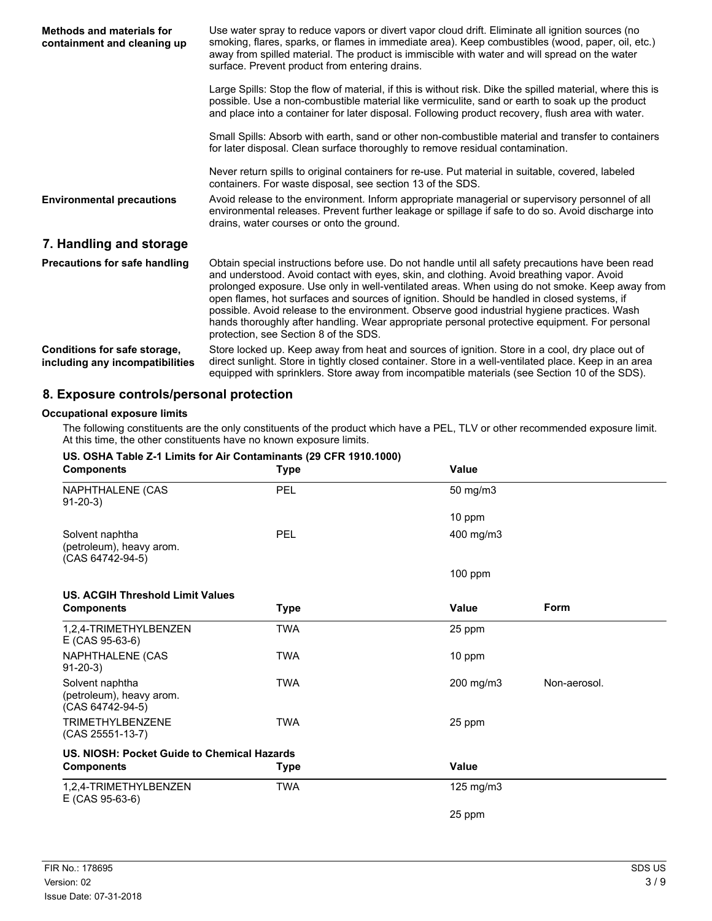| Methods and materials for<br>containment and cleaning up        | Use water spray to reduce vapors or divert vapor cloud drift. Eliminate all ignition sources (no<br>smoking, flares, sparks, or flames in immediate area). Keep combustibles (wood, paper, oil, etc.)<br>away from spilled material. The product is immiscible with water and will spread on the water<br>surface. Prevent product from entering drains.                                                                                                                                                                                                                                                                                |
|-----------------------------------------------------------------|-----------------------------------------------------------------------------------------------------------------------------------------------------------------------------------------------------------------------------------------------------------------------------------------------------------------------------------------------------------------------------------------------------------------------------------------------------------------------------------------------------------------------------------------------------------------------------------------------------------------------------------------|
|                                                                 | Large Spills: Stop the flow of material, if this is without risk. Dike the spilled material, where this is<br>possible. Use a non-combustible material like vermiculite, sand or earth to soak up the product<br>and place into a container for later disposal. Following product recovery, flush area with water.                                                                                                                                                                                                                                                                                                                      |
|                                                                 | Small Spills: Absorb with earth, sand or other non-combustible material and transfer to containers<br>for later disposal. Clean surface thoroughly to remove residual contamination.                                                                                                                                                                                                                                                                                                                                                                                                                                                    |
|                                                                 | Never return spills to original containers for re-use. Put material in suitable, covered, labeled<br>containers. For waste disposal, see section 13 of the SDS.                                                                                                                                                                                                                                                                                                                                                                                                                                                                         |
| <b>Environmental precautions</b>                                | Avoid release to the environment. Inform appropriate managerial or supervisory personnel of all<br>environmental releases. Prevent further leakage or spillage if safe to do so. Avoid discharge into<br>drains, water courses or onto the ground.                                                                                                                                                                                                                                                                                                                                                                                      |
| 7. Handling and storage                                         |                                                                                                                                                                                                                                                                                                                                                                                                                                                                                                                                                                                                                                         |
| Precautions for safe handling                                   | Obtain special instructions before use. Do not handle until all safety precautions have been read<br>and understood. Avoid contact with eyes, skin, and clothing. Avoid breathing vapor. Avoid<br>prolonged exposure. Use only in well-ventilated areas. When using do not smoke. Keep away from<br>open flames, hot surfaces and sources of ignition. Should be handled in closed systems, if<br>possible. Avoid release to the environment. Observe good industrial hygiene practices. Wash<br>hands thoroughly after handling. Wear appropriate personal protective equipment. For personal<br>protection, see Section 8 of the SDS. |
| Conditions for safe storage,<br>including any incompatibilities | Store locked up. Keep away from heat and sources of ignition. Store in a cool, dry place out of<br>direct sunlight. Store in tightly closed container. Store in a well-ventilated place. Keep in an area<br>equipped with sprinklers. Store away from incompatible materials (see Section 10 of the SDS).                                                                                                                                                                                                                                                                                                                               |

## **8. Exposure controls/personal protection**

#### **Occupational exposure limits**

The following constituents are the only constituents of the product which have a PEL, TLV or other recommended exposure limit. At this time, the other constituents have no known exposure limits.

| US. OSHA Table Z-1 Limits for Air Contaminants (29 CFR 1910.1000)<br><b>Components</b> | Type        | <b>Value</b>   |              |
|----------------------------------------------------------------------------------------|-------------|----------------|--------------|
| NAPHTHALENE (CAS<br>$91 - 20 - 3$                                                      | PEL         | 50 mg/m3       |              |
|                                                                                        |             | 10 ppm         |              |
| Solvent naphtha<br>(petroleum), heavy arom.<br>(CAS 64742-94-5)                        | PEL         | 400 mg/m3      |              |
|                                                                                        |             | $100$ ppm      |              |
| <b>US. ACGIH Threshold Limit Values</b>                                                |             |                |              |
| <b>Components</b>                                                                      | Type        | <b>Value</b>   | Form         |
| 1,2,4-TRIMETHYLBENZEN<br>E (CAS 95-63-6)                                               | <b>TWA</b>  | 25 ppm         |              |
| NAPHTHALENE (CAS<br>$91-20-3$                                                          | <b>TWA</b>  | 10 ppm         |              |
| Solvent naphtha<br>(petroleum), heavy arom.<br>(CAS 64742-94-5)                        | <b>TWA</b>  | 200 mg/m3      | Non-aerosol. |
| <b>TRIMETHYLBENZENE</b><br>(CAS 25551-13-7)                                            | <b>TWA</b>  | 25 ppm         |              |
| US. NIOSH: Pocket Guide to Chemical Hazards                                            |             |                |              |
| <b>Components</b>                                                                      | <b>Type</b> | Value          |              |
| 1,2,4-TRIMETHYLBENZEN<br>$E$ (CAS 95-63-6)                                             | <b>TWA</b>  | $125$ mg/m $3$ |              |
|                                                                                        |             | 25 ppm         |              |

## **US. OSHA Table Z-1 Limits for Air Contaminants (29 CFR 1910.1000)**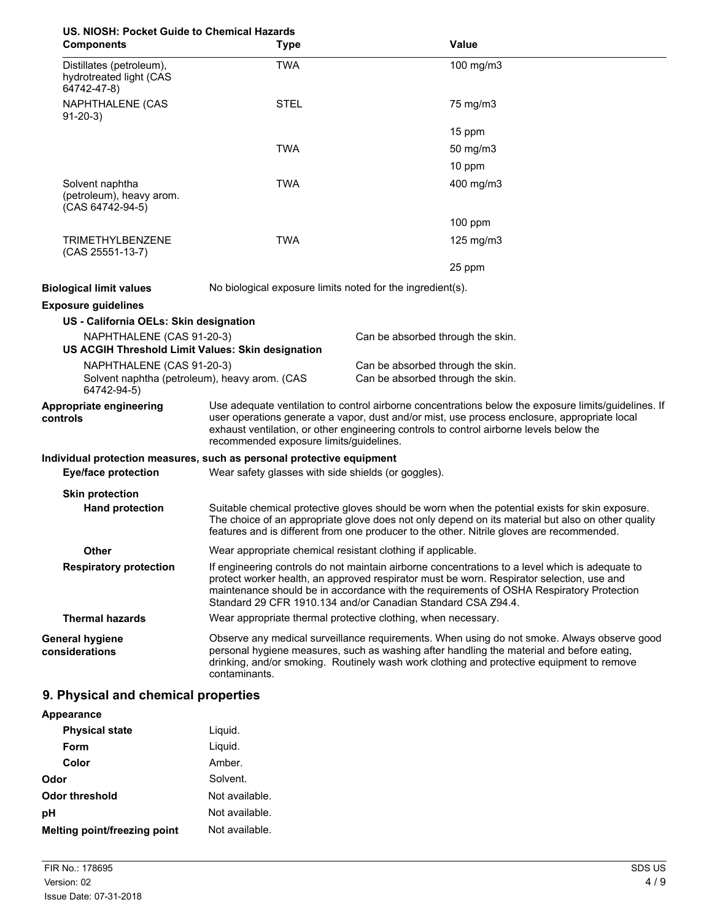| US. NIOSH: Pocket Guide to Chemical Hazards<br><b>Components</b>                          | <b>Type</b>                                                                                                                                                                                                                                                                                                                                              | Value                                                                                                                                                                                                                                                                                             |
|-------------------------------------------------------------------------------------------|----------------------------------------------------------------------------------------------------------------------------------------------------------------------------------------------------------------------------------------------------------------------------------------------------------------------------------------------------------|---------------------------------------------------------------------------------------------------------------------------------------------------------------------------------------------------------------------------------------------------------------------------------------------------|
| Distillates (petroleum),<br>hydrotreated light (CAS<br>64742-47-8)                        | <b>TWA</b>                                                                                                                                                                                                                                                                                                                                               | 100 mg/m3                                                                                                                                                                                                                                                                                         |
| NAPHTHALENE (CAS<br>$91-20-3$                                                             | <b>STEL</b>                                                                                                                                                                                                                                                                                                                                              | 75 mg/m3                                                                                                                                                                                                                                                                                          |
|                                                                                           |                                                                                                                                                                                                                                                                                                                                                          | 15 ppm                                                                                                                                                                                                                                                                                            |
|                                                                                           | <b>TWA</b>                                                                                                                                                                                                                                                                                                                                               | 50 mg/m3                                                                                                                                                                                                                                                                                          |
|                                                                                           |                                                                                                                                                                                                                                                                                                                                                          | 10 ppm                                                                                                                                                                                                                                                                                            |
| Solvent naphtha<br>(petroleum), heavy arom.<br>(CAS 64742-94-5)                           | <b>TWA</b>                                                                                                                                                                                                                                                                                                                                               | 400 mg/m3                                                                                                                                                                                                                                                                                         |
|                                                                                           |                                                                                                                                                                                                                                                                                                                                                          | 100 ppm                                                                                                                                                                                                                                                                                           |
| <b>TRIMETHYLBENZENE</b><br>(CAS 25551-13-7)                                               | <b>TWA</b>                                                                                                                                                                                                                                                                                                                                               | 125 mg/m $3$                                                                                                                                                                                                                                                                                      |
|                                                                                           |                                                                                                                                                                                                                                                                                                                                                          | 25 ppm                                                                                                                                                                                                                                                                                            |
| <b>Biological limit values</b>                                                            | No biological exposure limits noted for the ingredient(s).                                                                                                                                                                                                                                                                                               |                                                                                                                                                                                                                                                                                                   |
| <b>Exposure guidelines</b>                                                                |                                                                                                                                                                                                                                                                                                                                                          |                                                                                                                                                                                                                                                                                                   |
| US - California OELs: Skin designation                                                    |                                                                                                                                                                                                                                                                                                                                                          |                                                                                                                                                                                                                                                                                                   |
| NAPHTHALENE (CAS 91-20-3)<br>US ACGIH Threshold Limit Values: Skin designation            |                                                                                                                                                                                                                                                                                                                                                          | Can be absorbed through the skin.                                                                                                                                                                                                                                                                 |
| NAPHTHALENE (CAS 91-20-3)<br>Solvent naphtha (petroleum), heavy arom. (CAS<br>64742-94-5) |                                                                                                                                                                                                                                                                                                                                                          | Can be absorbed through the skin.<br>Can be absorbed through the skin.                                                                                                                                                                                                                            |
| Appropriate engineering<br>controls                                                       | Use adequate ventilation to control airborne concentrations below the exposure limits/guidelines. If<br>user operations generate a vapor, dust and/or mist, use process enclosure, appropriate local<br>exhaust ventilation, or other engineering controls to control airborne levels below the<br>recommended exposure limits/guidelines.               |                                                                                                                                                                                                                                                                                                   |
| Individual protection measures, such as personal protective equipment                     |                                                                                                                                                                                                                                                                                                                                                          |                                                                                                                                                                                                                                                                                                   |
| <b>Eye/face protection</b>                                                                | Wear safety glasses with side shields (or goggles).                                                                                                                                                                                                                                                                                                      |                                                                                                                                                                                                                                                                                                   |
| <b>Skin protection</b>                                                                    |                                                                                                                                                                                                                                                                                                                                                          |                                                                                                                                                                                                                                                                                                   |
| <b>Hand protection</b>                                                                    |                                                                                                                                                                                                                                                                                                                                                          | Suitable chemical protective gloves should be worn when the potential exists for skin exposure.<br>The choice of an appropriate glove does not only depend on its material but also on other quality<br>features and is different from one producer to the other. Nitrile gloves are recommended. |
| Other                                                                                     | Wear appropriate chemical resistant clothing if applicable.                                                                                                                                                                                                                                                                                              |                                                                                                                                                                                                                                                                                                   |
| <b>Respiratory protection</b>                                                             | If engineering controls do not maintain airborne concentrations to a level which is adequate to<br>protect worker health, an approved respirator must be worn. Respirator selection, use and<br>maintenance should be in accordance with the requirements of OSHA Respiratory Protection<br>Standard 29 CFR 1910.134 and/or Canadian Standard CSA Z94.4. |                                                                                                                                                                                                                                                                                                   |
| <b>Thermal hazards</b>                                                                    |                                                                                                                                                                                                                                                                                                                                                          | Wear appropriate thermal protective clothing, when necessary.                                                                                                                                                                                                                                     |
| <b>General hygiene</b><br>considerations                                                  | contaminants.                                                                                                                                                                                                                                                                                                                                            | Observe any medical surveillance requirements. When using do not smoke. Always observe good<br>personal hygiene measures, such as washing after handling the material and before eating,<br>drinking, and/or smoking. Routinely wash work clothing and protective equipment to remove             |

# **9. Physical and chemical properties**

| Appearance                   |                |
|------------------------------|----------------|
| <b>Physical state</b>        | Liguid.        |
| Form                         | Liquid.        |
| Color                        | Amber.         |
| Odor                         | Solvent.       |
| Odor threshold               | Not available. |
| рH                           | Not available. |
| Melting point/freezing point | Not available. |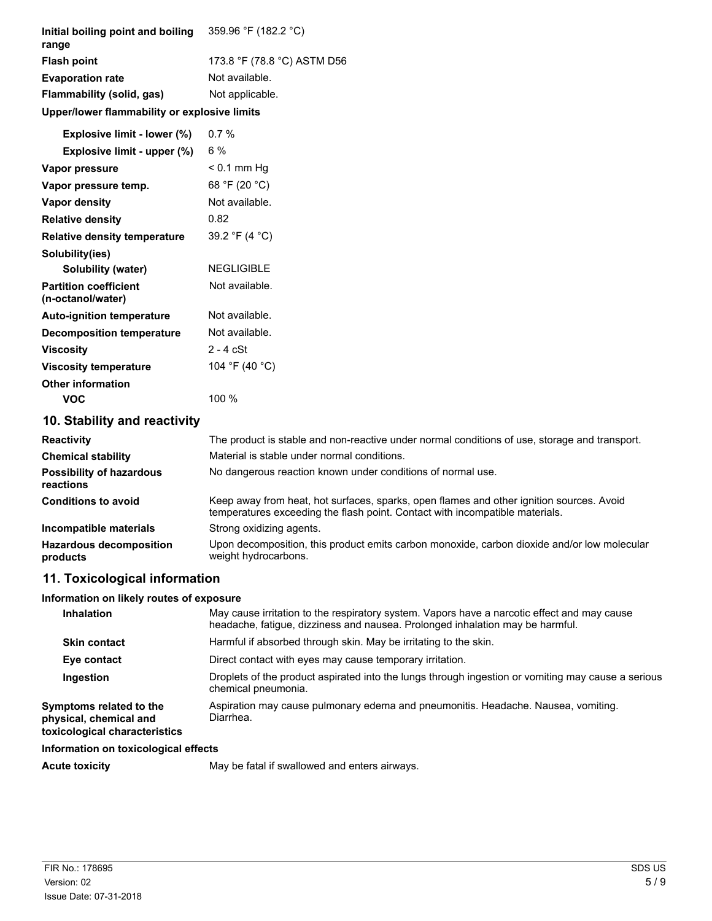| Initial boiling point and boiling<br>range        | 359.96 °F (182.2 °C)                                                                                                                                                         |
|---------------------------------------------------|------------------------------------------------------------------------------------------------------------------------------------------------------------------------------|
| <b>Flash point</b>                                | 173.8 °F (78.8 °C) ASTM D56                                                                                                                                                  |
| <b>Evaporation rate</b>                           | Not available.                                                                                                                                                               |
| Flammability (solid, gas)                         | Not applicable.                                                                                                                                                              |
| Upper/lower flammability or explosive limits      |                                                                                                                                                                              |
| Explosive limit - lower (%)                       | 0.7%                                                                                                                                                                         |
| Explosive limit - upper (%)                       | 6%                                                                                                                                                                           |
| Vapor pressure                                    | $< 0.1$ mm Hg                                                                                                                                                                |
| Vapor pressure temp.                              | 68 °F (20 °C)                                                                                                                                                                |
| <b>Vapor density</b>                              | Not available.                                                                                                                                                               |
| <b>Relative density</b>                           | 0.82                                                                                                                                                                         |
| <b>Relative density temperature</b>               | 39.2 °F (4 °C)                                                                                                                                                               |
| Solubility(ies)                                   |                                                                                                                                                                              |
| <b>Solubility (water)</b>                         | <b>NEGLIGIBLE</b>                                                                                                                                                            |
| <b>Partition coefficient</b><br>(n-octanol/water) | Not available.                                                                                                                                                               |
| <b>Auto-ignition temperature</b>                  | Not available.                                                                                                                                                               |
| <b>Decomposition temperature</b>                  | Not available.                                                                                                                                                               |
| <b>Viscosity</b>                                  | $2 - 4$ cSt                                                                                                                                                                  |
| <b>Viscosity temperature</b>                      | 104 °F (40 °C)                                                                                                                                                               |
| <b>Other information</b>                          |                                                                                                                                                                              |
| <b>VOC</b>                                        | 100 %                                                                                                                                                                        |
| 10. Stability and reactivity                      |                                                                                                                                                                              |
| <b>Reactivity</b>                                 | The product is stable and non-reactive under normal conditions of use, storage and transport.                                                                                |
| <b>Chemical stability</b>                         | Material is stable under normal conditions.                                                                                                                                  |
| <b>Possibility of hazardous</b><br>reactions      | No dangerous reaction known under conditions of normal use.                                                                                                                  |
| <b>Conditions to avoid</b>                        | Keep away from heat, hot surfaces, sparks, open flames and other ignition sources. Avoid<br>temperatures exceeding the flash point. Contact with incompatible materials.     |
| Incompatible materials                            | Strong oxidizing agents.                                                                                                                                                     |
| <b>Hazardous decomposition</b><br>products        | Upon decomposition, this product emits carbon monoxide, carbon dioxide and/or low molecular<br>weight hydrocarbons.                                                          |
| 11. Toxicological information                     |                                                                                                                                                                              |
| Information on likely routes of exposure          |                                                                                                                                                                              |
| Inhalation                                        | May cause irritation to the respiratory system. Vapors have a narcotic effect and may cause<br>headache, fatigue, dizziness and nausea. Prolonged inhalation may be harmful. |
| <b>Skin contact</b>                               | Harmful if absorbed through skin. May be irritating to the skin.                                                                                                             |
| Eye contact                                       | Direct contact with eyes may cause temporary irritation.                                                                                                                     |
| Ingestion                                         | Droplets of the product aspirated into the lungs through ingestion or vomiting may cause a serious<br>chemical pneumonia.                                                    |
| Symptoms related to the<br>physical, chemical and | Aspiration may cause pulmonary edema and pneumonitis. Headache. Nausea, vomiting.<br>Diarrhea.                                                                               |

**physical, chemical and toxicological characteristics**

#### **Information on toxicological effects**

Acute toxicity **May be fatal if swallowed and enters airways.**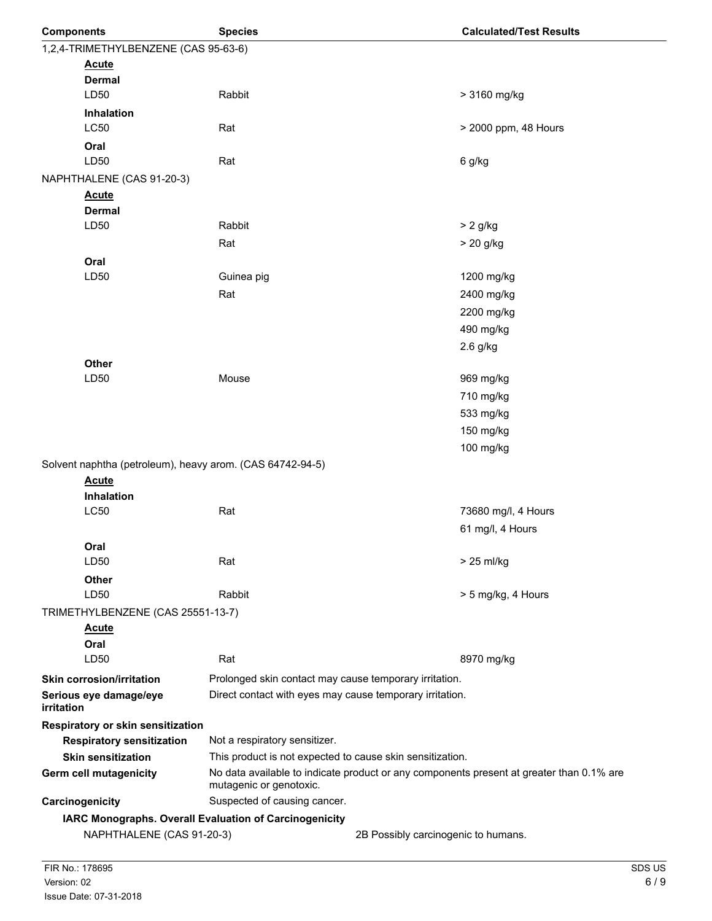| <b>Components</b>                                         | <b>Species</b>                                                                                                      |                                     | <b>Calculated/Test Results</b> |
|-----------------------------------------------------------|---------------------------------------------------------------------------------------------------------------------|-------------------------------------|--------------------------------|
| 1,2,4-TRIMETHYLBENZENE (CAS 95-63-6)                      |                                                                                                                     |                                     |                                |
| <b>Acute</b>                                              |                                                                                                                     |                                     |                                |
| <b>Dermal</b>                                             |                                                                                                                     |                                     |                                |
| LD50                                                      | Rabbit                                                                                                              |                                     | > 3160 mg/kg                   |
| <b>Inhalation</b>                                         |                                                                                                                     |                                     |                                |
| <b>LC50</b>                                               | Rat                                                                                                                 |                                     | > 2000 ppm, 48 Hours           |
| Oral                                                      |                                                                                                                     |                                     |                                |
| LD50                                                      | Rat                                                                                                                 |                                     | 6 g/kg                         |
| NAPHTHALENE (CAS 91-20-3)                                 |                                                                                                                     |                                     |                                |
| <b>Acute</b>                                              |                                                                                                                     |                                     |                                |
| <b>Dermal</b><br>LD50                                     | Rabbit                                                                                                              |                                     | $> 2$ g/kg                     |
|                                                           | Rat                                                                                                                 |                                     | $> 20$ g/kg                    |
|                                                           |                                                                                                                     |                                     |                                |
| Oral<br>LD50                                              | Guinea pig                                                                                                          |                                     | 1200 mg/kg                     |
|                                                           | Rat                                                                                                                 |                                     | 2400 mg/kg                     |
|                                                           |                                                                                                                     |                                     | 2200 mg/kg                     |
|                                                           |                                                                                                                     |                                     | 490 mg/kg                      |
|                                                           |                                                                                                                     |                                     | $2.6$ g/kg                     |
| Other                                                     |                                                                                                                     |                                     |                                |
| LD50                                                      | Mouse                                                                                                               |                                     | 969 mg/kg                      |
|                                                           |                                                                                                                     |                                     | 710 mg/kg                      |
|                                                           |                                                                                                                     |                                     | 533 mg/kg                      |
|                                                           |                                                                                                                     |                                     | 150 mg/kg                      |
|                                                           |                                                                                                                     |                                     | 100 mg/kg                      |
| Solvent naphtha (petroleum), heavy arom. (CAS 64742-94-5) |                                                                                                                     |                                     |                                |
| <b>Acute</b>                                              |                                                                                                                     |                                     |                                |
| Inhalation                                                |                                                                                                                     |                                     |                                |
| <b>LC50</b>                                               | Rat                                                                                                                 |                                     | 73680 mg/l, 4 Hours            |
|                                                           |                                                                                                                     |                                     | 61 mg/l, 4 Hours               |
| Oral                                                      |                                                                                                                     |                                     |                                |
| LD50                                                      | Rat                                                                                                                 |                                     | > 25 ml/kg                     |
| <b>Other</b>                                              |                                                                                                                     |                                     |                                |
| LD50                                                      | Rabbit                                                                                                              |                                     | > 5 mg/kg, 4 Hours             |
| TRIMETHYLBENZENE (CAS 25551-13-7)                         |                                                                                                                     |                                     |                                |
| <b>Acute</b>                                              |                                                                                                                     |                                     |                                |
| Oral                                                      |                                                                                                                     |                                     |                                |
| LD50                                                      | Rat                                                                                                                 |                                     | 8970 mg/kg                     |
| <b>Skin corrosion/irritation</b>                          | Prolonged skin contact may cause temporary irritation.                                                              |                                     |                                |
| Serious eye damage/eye<br>irritation                      | Direct contact with eyes may cause temporary irritation.                                                            |                                     |                                |
| Respiratory or skin sensitization                         |                                                                                                                     |                                     |                                |
| <b>Respiratory sensitization</b>                          | Not a respiratory sensitizer.                                                                                       |                                     |                                |
| <b>Skin sensitization</b>                                 | This product is not expected to cause skin sensitization.                                                           |                                     |                                |
| Germ cell mutagenicity                                    | No data available to indicate product or any components present at greater than 0.1% are<br>mutagenic or genotoxic. |                                     |                                |
| Carcinogenicity                                           | Suspected of causing cancer.                                                                                        |                                     |                                |
|                                                           | IARC Monographs. Overall Evaluation of Carcinogenicity                                                              |                                     |                                |
| NAPHTHALENE (CAS 91-20-3)                                 |                                                                                                                     | 2B Possibly carcinogenic to humans. |                                |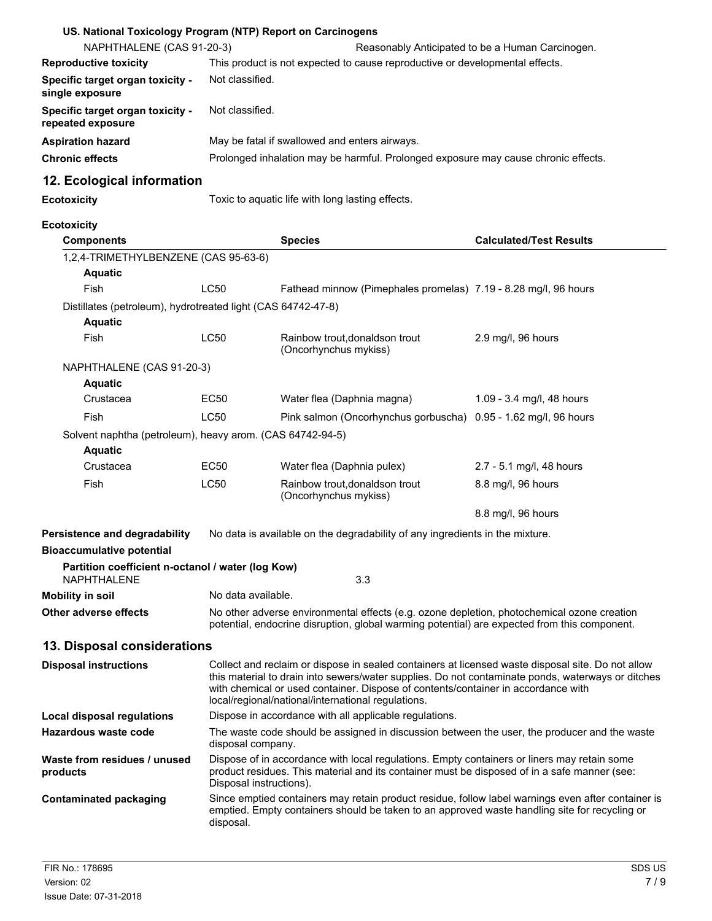| US. National Toxicology Program (NTP) Report on Carcinogens                    |                                                                                                                                                                                                                                                                                                                                                   |                                                                                                                                                                                                     |                                |  |
|--------------------------------------------------------------------------------|---------------------------------------------------------------------------------------------------------------------------------------------------------------------------------------------------------------------------------------------------------------------------------------------------------------------------------------------------|-----------------------------------------------------------------------------------------------------------------------------------------------------------------------------------------------------|--------------------------------|--|
| NAPHTHALENE (CAS 91-20-3)                                                      | Reasonably Anticipated to be a Human Carcinogen.                                                                                                                                                                                                                                                                                                  |                                                                                                                                                                                                     |                                |  |
| <b>Reproductive toxicity</b>                                                   | This product is not expected to cause reproductive or developmental effects.                                                                                                                                                                                                                                                                      |                                                                                                                                                                                                     |                                |  |
| Specific target organ toxicity -<br>single exposure                            |                                                                                                                                                                                                                                                                                                                                                   | Not classified.                                                                                                                                                                                     |                                |  |
| Specific target organ toxicity -<br>repeated exposure                          | Not classified.                                                                                                                                                                                                                                                                                                                                   |                                                                                                                                                                                                     |                                |  |
| <b>Aspiration hazard</b>                                                       |                                                                                                                                                                                                                                                                                                                                                   | May be fatal if swallowed and enters airways.                                                                                                                                                       |                                |  |
| <b>Chronic effects</b>                                                         |                                                                                                                                                                                                                                                                                                                                                   | Prolonged inhalation may be harmful. Prolonged exposure may cause chronic effects.                                                                                                                  |                                |  |
| 12. Ecological information                                                     |                                                                                                                                                                                                                                                                                                                                                   |                                                                                                                                                                                                     |                                |  |
| <b>Ecotoxicity</b>                                                             |                                                                                                                                                                                                                                                                                                                                                   | Toxic to aquatic life with long lasting effects.                                                                                                                                                    |                                |  |
| <b>Ecotoxicity</b>                                                             |                                                                                                                                                                                                                                                                                                                                                   |                                                                                                                                                                                                     |                                |  |
| <b>Components</b>                                                              |                                                                                                                                                                                                                                                                                                                                                   | <b>Species</b>                                                                                                                                                                                      | <b>Calculated/Test Results</b> |  |
| 1,2,4-TRIMETHYLBENZENE (CAS 95-63-6)                                           |                                                                                                                                                                                                                                                                                                                                                   |                                                                                                                                                                                                     |                                |  |
| <b>Aquatic</b>                                                                 |                                                                                                                                                                                                                                                                                                                                                   |                                                                                                                                                                                                     |                                |  |
| <b>Fish</b>                                                                    | LC50                                                                                                                                                                                                                                                                                                                                              | Fathead minnow (Pimephales promelas) 7.19 - 8.28 mg/l, 96 hours                                                                                                                                     |                                |  |
| Distillates (petroleum), hydrotreated light (CAS 64742-47-8)<br><b>Aquatic</b> |                                                                                                                                                                                                                                                                                                                                                   |                                                                                                                                                                                                     |                                |  |
| Fish                                                                           | LC50                                                                                                                                                                                                                                                                                                                                              | Rainbow trout, donaldson trout<br>(Oncorhynchus mykiss)                                                                                                                                             | 2.9 mg/l, 96 hours             |  |
| NAPHTHALENE (CAS 91-20-3)                                                      |                                                                                                                                                                                                                                                                                                                                                   |                                                                                                                                                                                                     |                                |  |
| <b>Aquatic</b>                                                                 |                                                                                                                                                                                                                                                                                                                                                   |                                                                                                                                                                                                     |                                |  |
| Crustacea                                                                      | <b>EC50</b>                                                                                                                                                                                                                                                                                                                                       | Water flea (Daphnia magna)                                                                                                                                                                          | 1.09 - 3.4 mg/l, 48 hours      |  |
| Fish                                                                           | LC50                                                                                                                                                                                                                                                                                                                                              | Pink salmon (Oncorhynchus gorbuscha)                                                                                                                                                                | 0.95 - 1.62 mg/l, 96 hours     |  |
| Solvent naphtha (petroleum), heavy arom. (CAS 64742-94-5)<br><b>Aquatic</b>    |                                                                                                                                                                                                                                                                                                                                                   |                                                                                                                                                                                                     |                                |  |
| Crustacea                                                                      | EC50                                                                                                                                                                                                                                                                                                                                              | Water flea (Daphnia pulex)                                                                                                                                                                          | 2.7 - 5.1 mg/l, 48 hours       |  |
| Fish                                                                           | LC50                                                                                                                                                                                                                                                                                                                                              | Rainbow trout, donaldson trout<br>(Oncorhynchus mykiss)                                                                                                                                             | 8.8 mg/l, 96 hours             |  |
|                                                                                |                                                                                                                                                                                                                                                                                                                                                   |                                                                                                                                                                                                     | 8.8 mg/l, 96 hours             |  |
| Persistence and degradability                                                  | No data is available on the degradability of any ingredients in the mixture.                                                                                                                                                                                                                                                                      |                                                                                                                                                                                                     |                                |  |
| <b>Bioaccumulative potential</b>                                               |                                                                                                                                                                                                                                                                                                                                                   |                                                                                                                                                                                                     |                                |  |
| Partition coefficient n-octanol / water (log Kow)<br><b>NAPHTHALENE</b>        |                                                                                                                                                                                                                                                                                                                                                   | 3.3                                                                                                                                                                                                 |                                |  |
| <b>Mobility in soil</b>                                                        | No data available.                                                                                                                                                                                                                                                                                                                                |                                                                                                                                                                                                     |                                |  |
| Other adverse effects                                                          | No other adverse environmental effects (e.g. ozone depletion, photochemical ozone creation<br>potential, endocrine disruption, global warming potential) are expected from this component.                                                                                                                                                        |                                                                                                                                                                                                     |                                |  |
| 13. Disposal considerations                                                    |                                                                                                                                                                                                                                                                                                                                                   |                                                                                                                                                                                                     |                                |  |
| <b>Disposal instructions</b>                                                   | Collect and reclaim or dispose in sealed containers at licensed waste disposal site. Do not allow<br>this material to drain into sewers/water supplies. Do not contaminate ponds, waterways or ditches<br>with chemical or used container. Dispose of contents/container in accordance with<br>local/regional/national/international regulations. |                                                                                                                                                                                                     |                                |  |
| <b>Local disposal regulations</b>                                              |                                                                                                                                                                                                                                                                                                                                                   | Dispose in accordance with all applicable regulations.                                                                                                                                              |                                |  |
| <b>Hazardous waste code</b>                                                    | disposal company.                                                                                                                                                                                                                                                                                                                                 | The waste code should be assigned in discussion between the user, the producer and the waste                                                                                                        |                                |  |
| Waste from residues / unused<br>products                                       | Dispose of in accordance with local regulations. Empty containers or liners may retain some<br>product residues. This material and its container must be disposed of in a safe manner (see:<br>Disposal instructions).                                                                                                                            |                                                                                                                                                                                                     |                                |  |
| <b>Contaminated packaging</b>                                                  | disposal.                                                                                                                                                                                                                                                                                                                                         | Since emptied containers may retain product residue, follow label warnings even after container is<br>emptied. Empty containers should be taken to an approved waste handling site for recycling or |                                |  |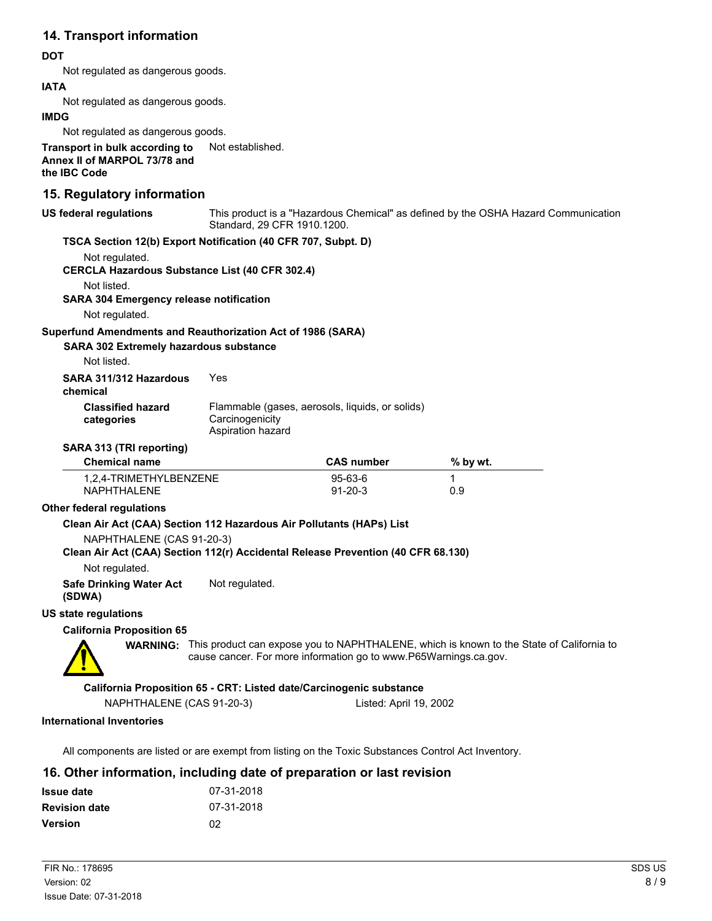## **14. Transport information**

#### **DOT**

Not regulated as dangerous goods.

#### **IATA**

Not regulated as dangerous goods.

#### **IMDG**

Not regulated as dangerous goods.

**Transport in bulk according to** Not established. **Annex II of MARPOL 73/78 and the IBC Code**

### **15. Regulatory information**

| US federal regulations | This product is a "Hazardous Chemical" as defined by the OSHA Hazard Communication<br>Standard, 29 CFR 1910.1200. |
|------------------------|-------------------------------------------------------------------------------------------------------------------|
|                        | TSCA Section 12(b) Export Notification (40 CFR 707, Subpt. D)                                                     |
| Not regulated.         |                                                                                                                   |

**CERCLA Hazardous Substance List (40 CFR 302.4)**

Not listed.

**SARA 304 Emergency release notification**

Not regulated.

#### **Superfund Amendments and Reauthorization Act of 1986 (SARA)**

**SARA 302 Extremely hazardous substance**

Not listed.

|  | SARA 311/312 Hazardous | Yes |
|--|------------------------|-----|
|  |                        |     |

**chemical**

| ,,,,,,,,                 |                                                 |
|--------------------------|-------------------------------------------------|
| <b>Classified hazard</b> | Flammable (gases, aerosols, liquids, or solids) |
| categories               | Carcinogenicity                                 |
|                          | Aspiration hazard                               |

#### **SARA 313 (TRI reporting)**

| <b>Chemical name</b>   | <b>CAS number</b> | $%$ by wt. |  |
|------------------------|-------------------|------------|--|
| 1,2,4-TRIMETHYLBENZENE | $95-63-6$         |            |  |
| NAPHTHAI FNF           | $91 - 20 - 3$     | 0.9        |  |

#### **Other federal regulations**

#### **Clean Air Act (CAA) Section 112 Hazardous Air Pollutants (HAPs) List**

NAPHTHALENE (CAS 91-20-3)

#### **Clean Air Act (CAA) Section 112(r) Accidental Release Prevention (40 CFR 68.130)**

Not regulated.

**Safe Drinking Water Act** Not regulated.

**(SDWA)**

#### **US state regulations**

#### **California Proposition 65**

**WARNING:** This product can expose you to NAPHTHALENE, which is known to the State of California to cause cancer. For more information go to www.P65Warnings.ca.gov.

**California Proposition 65 - CRT: Listed date/Carcinogenic substance**

NAPHTHALENE (CAS 91-20-3) Listed: April 19, 2002

#### **International Inventories**

All components are listed or are exempt from listing on the Toxic Substances Control Act Inventory.

## **16. Other information, including date of preparation or last revision**

| <b>Issue date</b>    | 07-31-2018 |
|----------------------|------------|
| <b>Revision date</b> | 07-31-2018 |
| Version              | 02         |